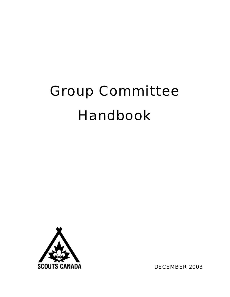# Group Committee Handbook



DECEMBER 2003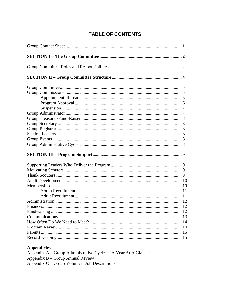# **TABLE OF CONTENTS**

| Fund-raising |  |
|--------------|--|
|              |  |
|              |  |
|              |  |
|              |  |
|              |  |
|              |  |

# **Appendicies**

| Appendix A – Group Administrative Cycle – "A Year At A Glance" |
|----------------------------------------------------------------|
| Appendix B – Group Annual Review                               |
| Appendix $C -$ Group Volunteer Job Descriptions                |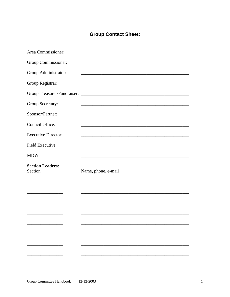# **Group Contact Sheet:**

| Area Commissioner:                                          |                                                                                                                      |
|-------------------------------------------------------------|----------------------------------------------------------------------------------------------------------------------|
| Group Commissioner:                                         | <u> 1989 - Johann Stoff, Amerikaansk politiker (* 1958)</u>                                                          |
| Group Administrator:                                        | <u> 1989 - Johann Stoff, Amerikaansk politiker (* 1908)</u>                                                          |
| Group Registrar:                                            |                                                                                                                      |
| Group Treasurer/Fundraiser:                                 | <u> 2000 - Jan James James Barnett, fransk politik (d. 1882)</u>                                                     |
| Group Secretary:                                            | <u> 1980 - Johann Barn, mars an t-Amerikaansk politiker (</u>                                                        |
| Sponsor/Partner:                                            |                                                                                                                      |
| Council Office:                                             |                                                                                                                      |
| <b>Executive Director:</b>                                  | <u> 1989 - Andrea Santa Andrea Andrea Andrea Andrea Andrea Andrea Andrea Andrea Andrea Andrea Andrea Andrea Andr</u> |
| Field Executive:                                            |                                                                                                                      |
| <b>MDW</b>                                                  |                                                                                                                      |
|                                                             |                                                                                                                      |
| <b>Section Leaders:</b><br>Section                          | Name, phone, e-mail                                                                                                  |
|                                                             |                                                                                                                      |
| the control of the control of the control of the control of |                                                                                                                      |
|                                                             |                                                                                                                      |
|                                                             |                                                                                                                      |
|                                                             |                                                                                                                      |
|                                                             |                                                                                                                      |
|                                                             |                                                                                                                      |
|                                                             |                                                                                                                      |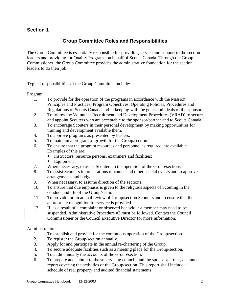# **Section 1**

# **Group Committee Roles and Responsibilities**

The Group Committee is essentially responsible for providing service and support to the section leaders and providing for Quality Programs on behalf of Scouts Canada. Through the Group Commissioner, the Group Committee provides the administrative foundation for the section leaders to do their job.

Typical responsibilities of the Group Committee include:

Program:

- 1. To provide for the operation of the programs in accordance with the Mission, Principles and Practices, Program Objectives, Operating Policies, Procedures and Regulations of Scouts Canada and in keeping with the goals and ideals of the sponsor.
- 2. To follow the Volunteer Recruitment and Development Procedures (VRAD) to secure and appoint Scouters who are acceptable to the sponsor/partner and to Scouts Canada.
- 3. To encourage Scouters in their personal development by making opportunities for training and development available them.
- 4. To approve programs as presented by leaders.
- 5. To maintain a program of growth for the Group/section.
- 6. To ensure that the program resources and personnel as required, are available. Examples of this are:
	- Instructors, resource persons, examiners and facilities;
	- **Equipment**
- 7. Where necessary, to assist Scouters in the operation of the Group/sections.
- 8. To assist Scouters in preparations of camps and other special events and to approve arrangements and budgets.
- 9. When necessary, to assume direction of the sections.
- 10. To ensure that due emphasis is given to the religious aspects of Scouting in the conduct and life of the Group/section.
- 11. To provide for an annual review of Group/section Scouters and to ensure that the appropriate recognition for service is provided.
- 12. If, as a result of a complaint or observed behaviour a member may need to be suspended, Administrative Procedure #3 must be followed. Contact the Council Commissioner or the Council Executive Director for more information.

Administration:

- 1. To establish and provide for the continuous operation of the Group/section.
- 2. To register the Group/section annually.
- 3. Apply for and participate in the annual re-chartering of the Group.
- 4. To secure adequate facilities such as a meeting place for the Group/section.
- 5. To audit annually the accounts of the Group/section.
- 6. To prepare and submit to the supervising council, and the sponsor/partner, an annual report covering the activities of the Group/section. This report shall include a schedule of real property and audited financial statements.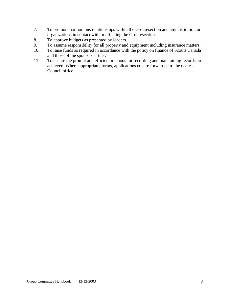- 7. To promote harmonious relationships within the Group/section and any institution or organizations in contact with or affecting the Group/section.
- 8. To approve budgets as presented by leaders.
- 9. To assume responsibility for all property and equipment including insurance matters.
- 10. To raise funds as required in accordance with the policy on finance of Scouts Canada and those of the sponsor/partner.
- 11. To ensure the prompt and efficient methods for recording and maintaining records are achieved. Where appropriate, forms, applications etc are forwarded to the nearest Council office.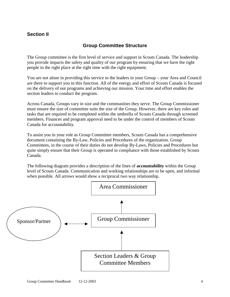## **Section II**

## **Group Committee Structure**

The Group committee is the first level of service and support in Scouts Canada. The leadership you provide impacts the safety and quality of our program by ensuring that we have the right people in the right place at the right time with the right equipment.

You are not alone in providing this service to the leaders in your Group – your Area and Council are there to support you in this function. All of the energy and effort of Scouts Canada is focused on the delivery of our programs and achieving our mission. Your time and effort enables the section leaders to conduct the program.

Across Canada, Groups vary in size and the communities they serve. The Group Commissioner must ensure the size of committee suits the size of the Group. However, there are key roles and tasks that are required to be completed within the umbrella of Scouts Canada through screened members. Finances and program approval need to be under the control of members of Scouts Canada for accountability.

To assist you in your role as Group Committee members, Scouts Canada has a comprehensive document containing the By-Law, Policies and Procedures of the organization. Group Committees, in the course of their duties do not develop By-Laws, Policies and Procedures but quite simply ensure that their Group is operated in compliance with those established by Scouts Canada.

The following diagram provides a description of the lines of **accountability** within the Group level of Scouts Canada. Communication and working relationships are to be open, and informal when possible. All arrows would show a reciprocal two way relationship.

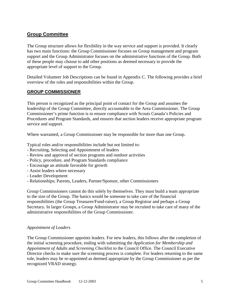# **Group Committee**

The Group structure allows for flexibility in the way service and support is provided. It clearly has two main functions: the Group Commissioner focuses on Group management and program support and the Group Administrator focuses on the administrative functions of the Group. Both of these people may choose to add other positions as deemed necessary to provide the appropriate level of support to the Group.

Detailed Volunteer Job Descriptions can be found in Appendix C. The following provides a brief overview of the roles and responsibilities within the Group.

#### **GROUP COMMISSIONER**

This person is recognized as the principal point of contact for the Group and assumes the leadership of the Group Committee, directly accountable to the Area Commissioner. The Group Commissioner's prime function is to ensure compliance with Scouts Canada's Policies and Procedures and Program Standards, and ensures that section leaders receive appropriate program service and support.

Where warranted, a Group Commissioner may be responsible for more than one Group.

Typical roles and/or responsibilities include but not limited to:

- Recruiting, Selecting and Appointment of leaders
- Review and approval of section programs and outdoor activities
- Policy, procedure, and Program Standards compliance
- Encourage an attitude favorable for growth
- Assist leaders where necessary
- Leader Development
- Relationships; Parents, Leaders, Partner/Sponsor, other Commissioners

Group Commissioners cannot do this solely by themselves. They must build a team appropriate to the size of the Group. The basics would be someone to take care of the financial responsibilities (the Group Treasurer/Fund-raiser), a Group Registrar and perhaps a Group Secretary. In larger Groups, a Group Administrator may be recruited to take care of many of the administrative responsibilities of the Group Commissioner.

#### *Appointment of Leaders*

The Group Commissioner appoints leaders. For new leaders, this follows after the completion of the initial screening procedure, ending with submitting the *Application for Membership and Appointment of Adults* and *Screening Checklist* to the Council Office. The Council Executive Director checks to make sure the screening process is complete. For leaders returning to the same role, leaders may be re-appointed as deemed appropriate by the Group Commissioner as per the recognized VRAD strategy.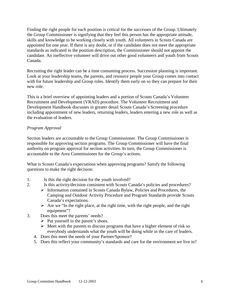Finding the right people for each position is critical for the successes of the Group. Ultimately the Group Commissioner is signifying that they feel this person has the appropriate attitude, skills and knowledge to be working closely with youth. All volunteers in Scouts Canada are appointed for one year. If there is any doubt, or if the candidate does not meet the appropriate standards as indicated in the position description, the Commissioner should not appoint the candidate. An ineffective volunteer will drive out other good volunteers and youth from Scouts Canada.

Recruiting the right leader can be a time consuming process. Succession planning is important. Look at your leadership teams, the parents, and resource people your Group comes into contact with for future leadership and Group roles. Identify them early on so they can prepare for their new role.

This is a brief overview of appointing leaders and a portion of Scouts Canada's Volunteer Recruitment and Development (VRAD) procedure. The Volunteer Recruitment and Development Handbook discusses in greater detail Scouts Canada's Screening procedure including appointment of new leaders, returning leaders, leaders entering a new role as well as the evaluation of leaders.

#### *Program Approval*

Section leaders are accountable to the Group Commissioner. The Group Commissioner is responsible for approving section programs. The Group Commissioner will have the final authority on program approval for section activities. In turn, the Group Commissioner is accountable to the Area Commissioner for the Group's actions.

What is Scouts Canada's expectations when approving programs? Satisfy the following questions to make the right decision:

- 1. Is this the right decision for the youth involved?
- 2. Is this activity/decision consistent with Scouts Canada's policies and procedures?
	- $\triangleright$  Information contained in Scouts Canada Bylaw, Policies and Procedures, the Camping and Outdoor Activity Procedure and Program Standards provide Scouts Canada's expectations.
	- $\triangleright$  Are we "In the right place, at the right time, with the right people, and the right equipment"?
- 3. Does this meet the parents' needs?
	- $\triangleright$  Put yourself in the parent's shoes.
	- $\triangleright$  Meet with the parents to discuss programs that have a higher element of risk so everybody understands what the youth will be doing while in the care of leaders.
	- 4. Does this meet the needs of your Partner/Sponsor?
	- 5. Does this reflect your community's standards and care for the environment we live in?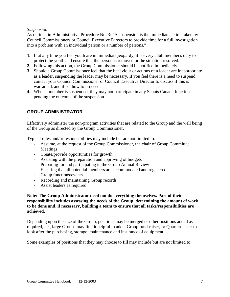#### *Suspension*

As defined in Administrative Procedure No. 3: "A suspension is the immediate action taken by Council Commissioners or Council Executive Directors to provide time for a full investigation into a problem with an individual person or a number of persons."

- **1.** If at any time you feel youth are in immediate jeopardy, it is every adult member's duty to protect the youth and ensure that the person is removed or the situation resolved.
- **2.** Following this action, the Group Commissioner should be notified immediately.
- **3.** Should a Group Commissioner feel that the behaviour or actions of a leader are inappropriate as a leader, suspending the leader may be necessary. If you feel there is a need to suspend, contact your Council Commissioner or Council Executive Director to discuss if this is warranted, and if so, how to proceed.
- **4.** When a member is suspended, they may not participate in any Scouts Canada function pending the outcome of the suspension.

#### **GROUP ADMINISTRATOR**

Effectively administer the non-program activities that are related to the Group and the well being of the Group as directed by the Group Commissioner.

Typical roles and/or responsibilities may include but are not limited to:

- Assume, at the request of the Group Commissioner, the chair of Group Committee Meetings
- Create/provide opportunities for growth
- Assisting with the preparation and approving of budgets
- Preparing for and participating in the Group Annual Review
- Ensuring that all potential members are accommodated and registered
- Group functions/events
- Recording and maintaining Group records
- Assist leaders as required

**Note: The Group Administrator need not do everything themselves. Part of their responsibility includes assessing the needs of the Group, determining the amount of work to be done and, if necessary, building a team to ensure that all tasks/responsibilities are achieved.** 

Depending upon the size of the Group, positions may be merged or other positions added as required, i.e., large Groups may find it helpful to add a Group fund-raiser, or Quartermaster to look after the purchasing, storage, maintenance and insurance of equipment.

Some examples of positions that they may choose to fill may include but are not limited to: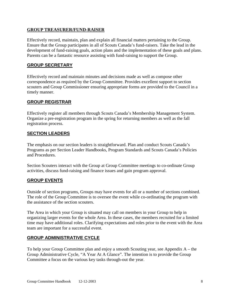#### **GROUP TREASURER/FUND-RAISER**

Effectively record, maintain, plan and explain all financial matters pertaining to the Group. Ensure that the Group participates in all of Scouts Canada's fund-raisers. Take the lead in the development of fund-raising goals, action plans and the implementation of these goals and plans. Parents can be a fantastic resource assisting with fund-raising to support the Group.

#### **GROUP SECRETARY**

Effectively record and maintain minutes and decisions made as well as compose other correspondence as required by the Group Committee. Provides excellent support to section scouters and Group Commissioner ensuring appropriate forms are provided to the Council in a timely manner.

#### **GROUP REGISTRAR**

Effectively register all members through Scouts Canada's Membership Management System. Organize a pre-registration program in the spring for returning members as well as the fall registration process.

#### **SECTION LEADERS**

The emphasis on our section leaders is straightforward. Plan and conduct Scouts Canada's Programs as per Section Leader Handbooks, Program Standards and Scouts Canada's Policies and Procedures.

Section Scouters interact with the Group at Group Committee meetings to co-ordinate Group activities, discuss fund-raising and finance issues and gain program approval.

#### **GROUP EVENTS**

Outside of section programs, Groups may have events for all or a number of sections combined. The role of the Group Committee is to oversee the event while co-ordinating the program with the assistance of the section scouters.

The Area in which your Group is situated may call on members in your Group to help in organizing larger events for the whole Area. In these cases, the members recruited for a limited time may have additional roles. Clarifying expectations and roles prior to the event with the Area team are important for a successful event.

### **GROUP ADMINISTRATIVE CYCLE**

To help your Group Committee plan and enjoy a smooth Scouting year, see Appendix A – the Group Administrative Cycle, "A Year At A Glance". The intention is to provide the Group Committee a focus on the various key tasks through-out the year.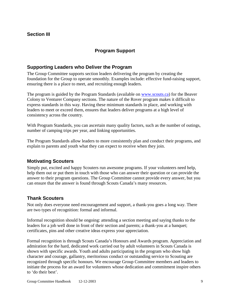# **Section III**

# **Program Support**

#### **Supporting Leaders who Deliver the Program**

The Group Committee supports section leaders delivering the program by creating the foundation for the Group to operate smoothly. Examples include: effective fund-raising support, ensuring there is a place to meet, and recruiting enough leaders.

The program is guided by the Program Standards (available on www.scouts.ca) for the Beaver Colony to Venturer Company sections. The nature of the Rover program makes it difficult to express standards in this way. Having these minimum standards in place, and working with leaders to meet or exceed them, ensures that leaders deliver programs at a high level of consistency across the country.

With Program Standards, you can ascertain many quality factors, such as the number of outings, number of camping trips per year, and linking opportunities.

The Program Standards allow leaders to more consistently plan and conduct their programs, and explain to parents and youth what they can expect to receive when they join.

### **Motivating Scouters**

Simply put, excited and happy Scouters run awesome programs. If your volunteers need help, help them out or put them in touch with those who can answer their question or can provide the answer to their program questions. The Group Committee cannot provide every answer, but you can ensure that the answer is found through Scouts Canada's many resources.

### **Thank Scouters**

Not only does everyone need encouragement and support, a thank-you goes a long way. There are two types of recognition: formal and informal.

Informal recognition should be ongoing: attending a section meeting and saying thanks to the leaders for a job well done in front of their section and parents; a thank-you at a banquet; certificates, pins and other creative ideas express your appreciation.

Formal recognition is through Scouts Canada's Honours and Awards program. Appreciation and admiration for the hard, dedicated work carried out by adult volunteers in Scouts Canada is shown with specific awards. Youth and adults participating in the program who show high character and courage, gallantry, meritorious conduct or outstanding service to Scouting are recognized through specific honours. We encourage Group Committee members and leaders to initiate the process for an award for volunteers whose dedication and commitment inspire others to 'do their best'.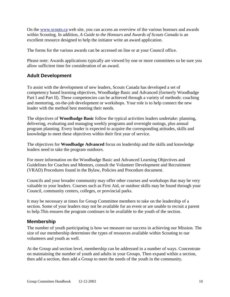On the www.scouts.ca web site, you can access an overview of the various honours and awards within Scouting. In addition, *A Guide to the Honours and Awards of Scouts Canada* is an excellent resource designed to help the initiator write an award application.

The forms for the various awards can be accessed on line or at your Council office.

Please note: Awards applications typically are viewed by one or more committees so be sure you allow sufficient time for consideration of an award.

## **Adult Development**

To assist with the development of new leaders, Scouts Canada has developed a set of competency based learning objectives, Woodbadge Basic and Advanced (formerly Woodbadge Part I and Part II). These competencies can be achieved through a variety of methods: coaching and mentoring, on-the-job development or workshops. Your role is to help connect the new leader with the method best meeting their needs.

The objectives of **Woodbadge Basic** follow the typical activities leaders undertake: planning, delivering, evaluating and managing weekly programs and overnight outings, plus annual program planning. Every leader is expected to acquire the corresponding attitudes, skills and knowledge to meet these objectives within their first year of service.

The objectives for **Woodbadge Advanced** focus on leadership and the skills and knowledge leaders need to take the program outdoors.

For more information on the Woodbadge Basic and Advanced Learning Objectives and Guidelines for Coaches and Mentors, consult the Volunteer Development and Recruitment (VRAD) Procedures found in the Bylaw, Policies and Procedure document.

Councils and your broader community may offer other courses and workshops that may be very valuable to your leaders. Courses such as First Aid, or outdoor skills may be found through your Council, community centers, colleges, or provincial parks.

It may be necessary at times for Group Committee members to take on the leadership of a section. Some of your leaders may not be available for an event or are unable to recruit a parent to help.This ensures the program continues to be available to the youth of the section.

### **Membership**

The number of youth participating is how we measure our success in achieving our Mission. The size of our membership determines the types of resources available within Scouting to our volunteers and youth as well.

At the Group and section level, membership can be addressed in a number of ways. Concentrate on maintaining the number of youth and adults in your Groups. Then expand within a section, then add a section, then add a Group to meet the needs of the youth in the community.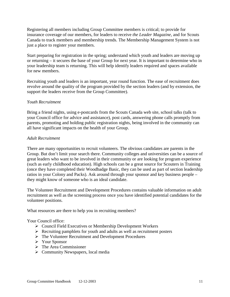Registering all members including Group Committee members is critical; to provide for insurance coverage of our members, for leaders to receive *the Leader Magazine*, and for Scouts Canada to track members and membership trends. The Membership Management System is not just a place to register your members.

Start preparing for registration in the spring; understand which youth and leaders are moving up or returning – it secures the base of your Group for next year. It is important to determine who in your leadership team is returning. This will help identify leaders required and spaces available for new members.

Recruiting youth and leaders is an important, year round function. The ease of recruitment does revolve around the quality of the program provided by the section leaders (and by extension, the support the leaders receive from the Group Committee).

#### *Youth Recruitment*

Bring a friend nights, using e-postcards from the Scouts Canada web site, school talks (talk to your Council office for advice and assistance), post cards, answering phone calls promptly from parents, promoting and holding public registration nights, being involved in the community can all have significant impacts on the health of your Group.

#### *Adult Recruitment*

There are many opportunities to recruit volunteers. The obvious candidates are parents in the Group. But don't limit your search there. Community colleges and universities can be a source of great leaders who want to be involved in their community or are looking for program experience (such as early childhood education). High schools can be a great source for Scouters in Training (once they have completed their Woodbadge Basic, they can be used as part of section leadership ratios in your Colony and Packs). Ask around through your sponsor and key business people – they might know of someone who is an ideal candidate.

The Volunteer Recruitment and Development Procedures contains valuable information on adult recruitment as well as the screening process once you have identified potential candidates for the volunteer positions.

What resources are there to help you in recruiting members?

Your Council office:

- $\triangleright$  Council Field Executives or Membership Development Workers
- $\triangleright$  Recruiting pamphlets for youth and adults as well as recruitment posters
- The Volunteer Recruitment and Development Procedures
- Your Sponsor
- The Area Commissioner
- $\triangleright$  Community Newspapers, local media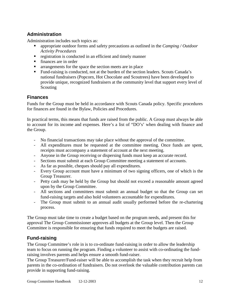# **Administration**

Administration includes such topics as:

- appropriate outdoor forms and safety precautions as outlined in the *Camping / Outdoor Activity Procedures*
- **•** registration is conducted in an efficient and timely manner
- finances are in order
- **The arrangements for the space the section meets are in place**
- Fund-raising is conducted, not at the burden of the section leaders. Scouts Canada's national fundraisers (Popcorn, Hot Chocolate and Scoutrees) have been developed to provide unique, recognized fundraisers at the community level that support every level of Scouting

# **Finances**

Funds for the Group must be held in accordance with Scouts Canada policy. Specific procedures for finances are found in the Bylaw, Policies and Procedures.

In practical terms, this means that funds are raised from the public. A Group must always be able to account for its income and expenses. Here's a list of "DO's' when dealing with finance and the Group.

- No financial transactions may take place without the approval of the committee.
- All expenditures must be requested at the committee meeting. Once funds are spent, receipts must accompany a statement of account at the next meeting.
- Anyone in the Group receiving or dispersing funds must keep an accurate record.
- Sections must submit at each Group Committee meeting a statement of accounts.
- As far as possible, cheques should pay all expenditures.
- Every Group account must have a minimum of two signing officers, one of which is the Group Treasurer.
- Petty cash may be held by the Group but should not exceed a reasonable amount agreed upon by the Group Committee.
- All sections and committees must submit an annual budget so that the Group can set fund-raising targets and also hold volunteers accountable for expenditures.
- The Group must submit to an annual audit usually performed before the re-chartering process.

The Group must take time to create a budget based on the program needs, and present this for approval The Group Commissioner approves all budgets at the Group level. Then the Group Committee is responsible for ensuring that funds required to meet the budgets are raised.

# **Fund-raising**

The Group Committee's role in is to co-ordinate fund-raising in order to allow the leadership team to focus on running the program. Finding a volunteer to assist with co-ordinating the fundraising involves parents and helps ensure a smooth fund-raiser.

The Group Treasurer/Fund-raiser will be able to accomplish the task when they recruit help from parents in the co-ordination of fundraisers. Do not overlook the valuable contribution parents can provide in supporting fund-raising.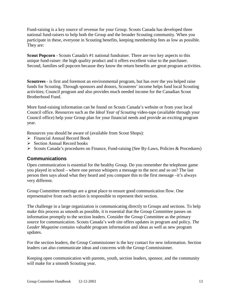Fund-raising is a key source of revenue for your Group. Scouts Canada has developed three national fund-raisers to help both the Group and the broader Scouting community. When you participate in these, everyone in Scouting benefits, keeping membership fees as low as possible. They are:

**Scout Popcorn** - Scouts Canada's #1 national fundraiser. There are two key aspects to this unique fund-raiser: the high quality product and it offers excellent value to the purchaser. Second, families sell popcorn because they know the return benefits are great program activities.

**Scoutrees** - is first and foremost an environmental program, but has over the yea helped raise funds for Scouting. Through sponsors and donors, Scoutrees' income helps fund local Scouting activities; Council program and also provides much needed income for the Canadian Scout Brotherhood Fund.

More fund-raising information can be found on Scouts Canada's website or from your local Council office. Resources such as the *Ideal Year of Scouting* video-tape (available through your Council office) help your Group plan for your financial needs and provide an exciting program year.

Resources you should be aware of (available from Scout Shops):

- Financial Annual Record Book
- $\triangleright$  Section Annual Record books
- $\triangleright$  Scouts Canada's procedures on Finance, Fund-raising (See By-Laws, Policies & Procedures)

# **Communications**

Open communication is essential for the healthy Group. Do you remember the telephone game you played in school – where one person whispers a message to the next and so on? The last person then says aloud what they heard and you compare this to the first message –it's always very different.

Group Committee meetings are a great place to ensure good communication flow. One representative from each section is responsible to represent their section.

The challenge in a large organization is communicating directly to Groups and sections. To help make this process as smooth as possible, it is essential that the Group Committee passes on information promptly to the section leaders. Consider the Group Committee as the primary source for communication. Scouts Canada's web site offers updates in program and policy. *The Leader Magazine* contains valuable program information and ideas as well as new program updates.

For the section leaders, the Group Commissioner is the key contact for new information. Section leaders can also communicate ideas and concerns with the Group Commissioner.

Keeping open communication with parents, youth, section leaders, sponsor, and the community will make for a smooth Scouting year.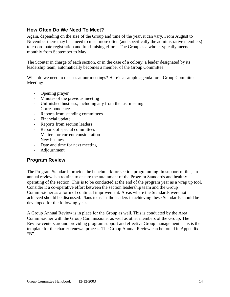# **How Often Do We Need To Meet?**

Again, depending on the size of the Group and time of the year, it can vary. From August to November there may be a need to meet more often (and specifically the administrative members) to co-ordinate registration and fund-raising efforts. The Group as a whole typically meets monthly from September to May.

The Scouter in charge of each section, or in the case of a colony, a leader designated by its leadership team, automatically becomes a member of the Group Committee.

What do we need to discuss at our meetings? Here's a sample agenda for a Group Committee Meeting:

- Opening prayer
- Minutes of the previous meeting
- Unfinished business, including any from the last meeting
- Correspondence
- Reports from standing committees
- Financial update
- Reports from section leaders
- Reports of special committees
- Matters for current consideration
- New business
- Date and time for next meeting
- Adjournment

### **Program Review**

The Program Standards provide the benchmark for section programming. In support of this, an annual review is a routine to ensure the attainment of the Program Standards and healthy operating of the section. This is to be conducted at the end of the program year as a wrap up tool. Consider it a co-operative effort between the section leadership team and the Group Commissioner as a form of continual improvement. Areas where the Standards were not achieved should be discussed. Plans to assist the leaders in achieving these Standards should be developed for the following year.

A Group Annual Review is in place for the Group as well. This is conducted by the Area Commissioner with the Group Commissioner as well as other members of the Group. The Review centers around providing program support and effective Group management. This is the template for the charter renewal process. The Group Annual Review can be found in Appendix "B".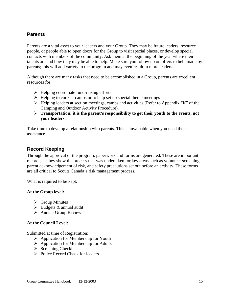# **Parents**

Parents are a vital asset to your leaders and your Group. They may be future leaders, resource people, or people able to open doors for the Group to visit special places, or develop special contacts with members of the community. Ask them at the beginning of the year where their talents are and how they may be able to help. Make sure you follow up on offers to help made by parents; this will add variety to the program and may even result in more leaders.

Although there are many tasks that need to be accomplished in a Group, parents are excellent resources for:

- $\triangleright$  Helping coordinate fund-raising efforts
- $\triangleright$  Helping to cook at camps or to help set up special theme meetings
- $\triangleright$  Helping leaders at section meetings, camps and activities (Refer to Appendix "K" of the Camping and Outdoor Activity Procedure).
- **Transportation: it is the parent's responsibility to get their youth to the events, not your leaders.**

Take time to develop a relationship with parents. This is invaluable when you need their assistance.

### **Record Keeping**

Through the approval of the program, paperwork and forms are generated. These are important records, as they show the process that was undertaken for key areas such as volunteer screening, parent acknowledgement of risk, and safety precautions set out before an activity. These forms are all critical to Scouts Canada's risk management process.

What is required to be kept:

#### **At the Group level:**

- $\triangleright$  Group Minutes
- $\triangleright$  Budgets & annual audit
- $\triangleright$  Annual Group Review

#### **At the Council Level:**

Submitted at time of Registration:

- $\triangleright$  Application for Membership for Youth
- $\triangleright$  Application for Membership for Adults
- $\triangleright$  Screening Checklist
- $\triangleright$  Police Record Check for leaders